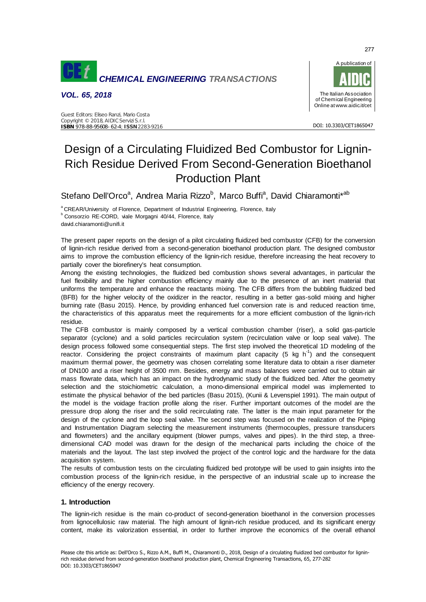

*VOL. 65, 2018*



DOI: 10.3303/CET1865047

# Design of a Circulating Fluidized Bed Combustor for Lignin-Rich Residue Derived From Second-Generation Bioethanol Production Plant

Stefano Dell'Orco<sup>a</sup>, Andrea Maria Rizzo<sup>b</sup>, Marco Buffi<sup>a</sup>, David Chiaramonti\*<sup>ab</sup>

<sup>a</sup> CREAR/University of Florence, Department of Industrial Engineering, Florence, Italy b Consorzio RE-CORD, viale Morgagni 40/44, Florence, Italy

david.chiaramonti@unifi.it

The present paper reports on the design of a pilot circulating fluidized bed combustor (CFB) for the conversion of lignin-rich residue derived from a second-generation bioethanol production plant. The designed combustor aims to improve the combustion efficiency of the lignin-rich residue, therefore increasing the heat recovery to partially cover the biorefinery's heat consumption.

Among the existing technologies, the fluidized bed combustion shows several advantages, in particular the fuel flexibility and the higher combustion efficiency mainly due to the presence of an inert material that uniforms the temperature and enhance the reactants mixing. The CFB differs from the bubbling fluidized bed (BFB) for the higher velocity of the oxidizer in the reactor, resulting in a better gas-solid mixing and higher burning rate (Basu 2015). Hence, by providing enhanced fuel conversion rate is and reduced reaction time, the characteristics of this apparatus meet the requirements for a more efficient combustion of the lignin-rich residue.

The CFB combustor is mainly composed by a vertical combustion chamber (riser), a solid gas-particle separator (cyclone) and a solid particles recirculation system (recirculation valve or loop seal valve). The design process followed some consequential steps. The first step involved the theoretical 1D modeling of the reactor. Considering the project constraints of maximum plant capacity  $(5 \text{ kg h}^{-1})$  and the consequent maximum thermal power, the geometry was chosen correlating some literature data to obtain a riser diameter of DN100 and a riser height of 3500 mm. Besides, energy and mass balances were carried out to obtain air mass flowrate data, which has an impact on the hydrodynamic study of the fluidized bed. After the geometry selection and the stoichiometric calculation, a mono-dimensional empirical model was implemented to estimate the physical behavior of the bed particles (Basu 2015), (Kunii & Levenspiel 1991). The main output of the model is the voidage fraction profile along the riser. Further important outcomes of the model are the pressure drop along the riser and the solid recirculating rate. The latter is the main input parameter for the design of the cyclone and the loop seal valve. The second step was focused on the realization of the Piping and Instrumentation Diagram selecting the measurement instruments (thermocouples, pressure transducers and flowmeters) and the ancillary equipment (blower pumps, valves and pipes). In the third step, a threedimensional CAD model was drawn for the design of the mechanical parts including the choice of the materials and the layout. The last step involved the project of the control logic and the hardware for the data acquisition system.

The results of combustion tests on the circulating fluidized bed prototype will be used to gain insights into the combustion process of the lignin-rich residue, in the perspective of an industrial scale up to increase the efficiency of the energy recovery.

# **1. Introduction**

The lignin-rich residue is the main co-product of second-generation bioethanol in the conversion processes from lignocellulosic raw material. The high amount of lignin-rich residue produced, and its significant energy content, make its valorization essential, in order to further improve the economics of the overall ethanol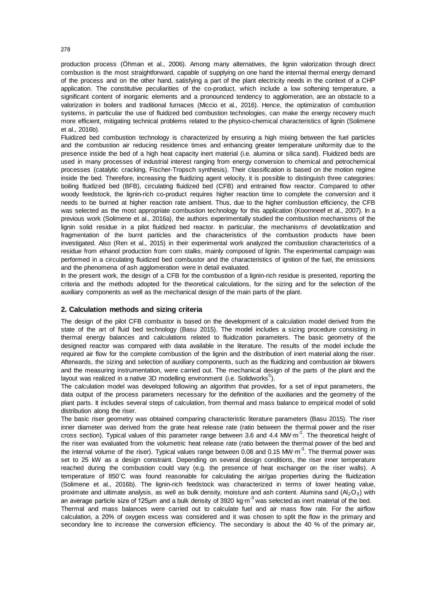production process (Öhman et al., 2006). Among many alternatives, the lignin valorization through direct combustion is the most straightforward, capable of supplying on one hand the internal thermal energy demand of the process and on the other hand, satisfying a part of the plant electricity needs in the context of a CHP application. The constitutive peculiarities of the co-product, which include a low softening temperature, a significant content of inorganic elements and a pronounced tendency to agglomeration, are an obstacle to a valorization in boilers and traditional furnaces (Miccio et al., 2016). Hence, the optimization of combustion systems, in particular the use of fluidized bed combustion technologies, can make the energy recovery much more efficient, mitigating technical problems related to the physico-chemical characteristics of lignin (Solimene et al., 2016b).

Fluidized bed combustion technology is characterized by ensuring a high mixing between the fuel particles and the combustion air reducing residence times and enhancing greater temperature uniformity due to the presence inside the bed of a high heat capacity inert material (i.e. alumina or silica sand). Fluidized beds are used in many processes of industrial interest ranging from energy conversion to chemical and petrochemical processes (catalytic cracking, Fischer-Tropsch synthesis). Their classification is based on the motion regime inside the bed. Therefore, increasing the fluidizing agent velocity, it is possible to distinguish three categories: boiling fluidized bed (BFB), circulating fluidized bed (CFB) and entrained flow reactor. Compared to other woody feedstock, the lignin-rich co-product requires higher reaction time to complete the conversion and it needs to be burned at higher reaction rate ambient. Thus, due to the higher combustion efficiency, the CFB was selected as the most appropriate combustion technology for this application (Koornneef et al., 2007). In a previous work (Solimene et al., 2016a), the authors experimentally studied the combustion mechanisms of the lignin solid residue in a pilot fluidized bed reactor. In particular, the mechanisms of devolatilization and fragmentation of the burnt particles and the characteristics of the combustion products have been investigated. Also (Ren et al., 2015) in their experimental work analyzed the combustion characteristics of a residue from ethanol production from corn stalks, mainly composed of lignin. The experimental campaign was performed in a circulating fluidized bed combustor and the characteristics of ignition of the fuel, the emissions and the phenomena of ash agglomeration were in detail evaluated.

In the present work, the design of a CFB for the combustion of a lignin-rich residue is presented, reporting the criteria and the methods adopted for the theoretical calculations, for the sizing and for the selection of the auxiliary components as well as the mechanical design of the main parts of the plant.

# **2. Calculation methods and sizing criteria**

The design of the pilot CFB combustor is based on the development of a calculation model derived from the state of the art of fluid bed technology (Basu 2015). The model includes a sizing procedure consisting in thermal energy balances and calculations related to fluidization parameters. The basic geometry of the designed reactor was compared with data available in the literature. The results of the model include the required air flow for the complete combustion of the lignin and the distribution of inert material along the riser. Afterwards, the sizing and selection of auxiliary components, such as the fluidizing and combustion air blowers and the measuring instrumentation, were carried out. The mechanical design of the parts of the plant and the layout was realized in a native 3D modelling environment (i.e. Solidworks<sup>©</sup>).

The calculation model was developed following an algorithm that provides, for a set of input parameters, the data output of the process parameters necessary for the definition of the auxiliaries and the geometry of the plant parts. It includes several steps of calculation, from thermal and mass balance to empirical model of solid distribution along the riser.

The basic riser geometry was obtained comparing characteristic literature parameters (Basu 2015). The riser inner diameter was derived from the grate heat release rate (ratio between the thermal power and the riser cross section). Typical values of this parameter range between 3.6 and 4.4 MW⋅m<sup>-2</sup>. The theoretical height of the riser was evaluated from the volumetric heat release rate (ratio between the thermal power of the bed and the internal volume of the riser). Typical values range between 0.08 and 0.15 MW⋅m<sup>-3</sup>. The thermal power was set to 25 kW as a design constraint. Depending on several design conditions, the riser inner temperature reached during the combustion could vary (e.g. the presence of heat exchanger on the riser walls). A temperature of 850˚C was found reasonable for calculating the air/gas properties during the fluidization (Solimene et al., 2016b). The lignin-rich feedstock was characterized in terms of lower heating value, proximate and ultimate analysis, as well as bulk density, moisture and ash content. Alumina sand  $(A<sub>2</sub>O<sub>3</sub>)$  with an average particle size of 125μm and a bulk density of 3920 kg⋅m<sup>-3</sup> was selected as inert material of the bed. Thermal and mass balances were carried out to calculate fuel and air mass flow rate. For the airflow calculation, a 20% of oxygen excess was considered and it was chosen to split the flow in the primary and secondary line to increase the conversion efficiency. The secondary is about the 40 % of the primary air,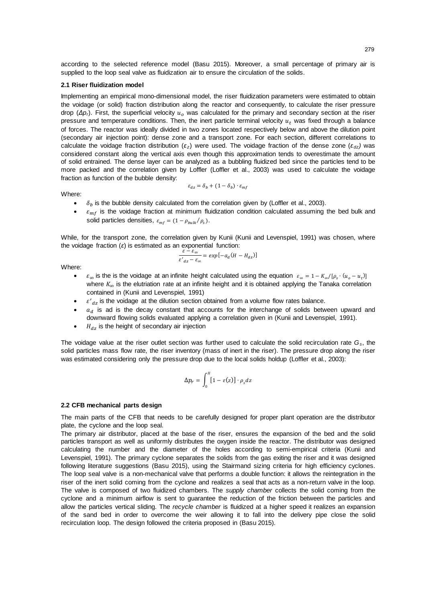according to the selected reference model (Basu 2015). Moreover, a small percentage of primary air is supplied to the loop seal valve as fluidization air to ensure the circulation of the solids.

#### **2.1 Riser fluidization model**

Implementing an empirical mono-dimensional model, the riser fluidization parameters were estimated to obtain the voidage (or solid) fraction distribution along the reactor and consequently, to calculate the riser pressure drop ( $Δp<sub>i</sub>$ ). First, the superficial velocity  $u<sub>o</sub>$  was calculated for the primary and secondary section at the riser pressure and temperature conditions. Then, the inert particle terminal velocity  $u_t$  was fixed through a balance of forces. The reactor was ideally divided in two zones located respectively below and above the dilution point (secondary air injection point): dense zone and a transport zone. For each section, different correlations to calculate the voidage fraction distribution (*ε <sup>z</sup>*) were used. The voidage fraction of the dense zone (*ε dz)* was considered constant along the vertical axis even though this approximation tends to overestimate the amount of solid entrained. The dense layer can be analyzed as a bubbling fluidized bed since the particles tend to be more packed and the correlation given by Loffler (Loffler et al., 2003) was used to calculate the voidage fraction as function of the bubble density:

 $\varepsilon_{dz} = \delta_b + (1 - \delta_b) \cdot \varepsilon_{mf}$ 

Where:

- $\delta_b$  is the bubble density calculated from the correlation given by (Loffler et al., 2003).
- $\varepsilon_{mf}$  is the voidage fraction at minimum fluidization condition calculated assuming the bed bulk and solid particles densities,  $\varepsilon_{mf} = (1 - \rho_{bulk}/\rho_s)$ .

While, for the transport zone, the correlation given by Kunii (Kunii and Levenspiel, 1991) was chosen, where the voidage fraction (*ε*) is estimated as an exponential function:

$$
\frac{\varepsilon - \varepsilon_{\infty}}{\varepsilon'_{dz} - \varepsilon_{\infty}} = \exp[-a_d(H - H_{dz})]
$$

Where:

- $\varepsilon_{\infty}$  is the is the voidage at an infinite height calculated using the equation  $\varepsilon_{\infty} = 1 K_{\infty}/[\rho_s \cdot (u_o u_t)]$ where  $K_{\infty}$  is the elutriation rate at an infinite height and it is obtained applying the Tanaka correlation contained in (Kunii and Levenspiel, 1991)
- $\bullet$   $\varepsilon'_{dz}$  is the voidage at the dilution section obtained from a volume flow rates balance.
- $a_d$  is ad is the decay constant that accounts for the interchange of solids between upward and downward flowing solids evaluated applying a correlation given in (Kunii and Levenspiel, 1991).
- $\bullet$   $H_{dz}$  is the height of secondary air injection

The voidage value at the riser outlet section was further used to calculate the solid recirculation rate *Gs*, the solid particles mass flow rate, the riser inventory (mass of inert in the riser). The pressure drop along the riser was estimated considering only the pressure drop due to the local solids holdup (Loffler et al., 2003):

$$
\Delta p_r = \int_0^H [1 - \varepsilon(z)] \cdot \rho_s dz
$$

#### **2.2 CFB mechanical parts design**

The main parts of the CFB that needs to be carefully designed for proper plant operation are the distributor plate, the cyclone and the loop seal.

The primary air distributor, placed at the base of the riser, ensures the expansion of the bed and the solid particles transport as well as uniformly distributes the oxygen inside the reactor. The distributor was designed calculating the number and the diameter of the holes according to semi-empirical criteria (Kunii and Levenspiel, 1991). The primary cyclone separates the solids from the gas exiting the riser and it was designed following literature suggestions (Basu 2015), using the Stairmand sizing criteria for high efficiency cyclones. The loop seal valve is a non-mechanical valve that performs a double function: it allows the reintegration in the riser of the inert solid coming from the cyclone and realizes a seal that acts as a non-return valve in the loop. The valve is composed of two fluidized chambers. The *supply chamber* collects the solid coming from the cyclone and a minimum airflow is sent to guarantee the reduction of the friction between the particles and allow the particles vertical sliding. The *recycle chamber* is fluidized at a higher speed it realizes an expansion of the sand bed in order to overcome the weir allowing it to fall into the delivery pipe close the solid recirculation loop. The design followed the criteria proposed in (Basu 2015).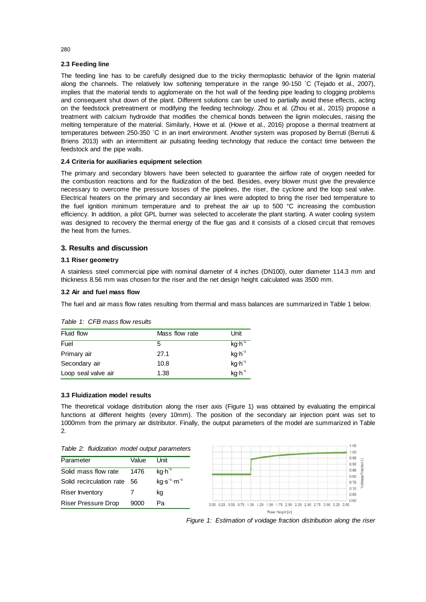# **2.3 Feeding line**

The feeding line has to be carefully designed due to the tricky thermoplastic behavior of the lignin material along the channels. The relatively low softening temperature in the range 90-150 ˚C (Tejado et al., 2007), implies that the material tends to agglomerate on the hot wall of the feeding pipe leading to clogging problems and consequent shut down of the plant. Different solutions can be used to partially avoid these effects, acting on the feedstock pretreatment or modifying the feeding technology. Zhou et al. (Zhou et al., 2015) propose a treatment with calcium hydroxide that modifies the chemical bonds between the lignin molecules, raising the melting temperature of the material. Similarly, Howe et al. (Howe et al., 2016) propose a thermal treatment at temperatures between 250-350 ˚C in an inert environment. Another system was proposed by Berruti (Berruti & Briens 2013) with an intermittent air pulsating feeding technology that reduce the contact time between the feedstock and the pipe walls.

# **2.4 Criteria for auxiliaries equipment selection**

The primary and secondary blowers have been selected to guarantee the airflow rate of oxygen needed for the combustion reactions and for the fluidization of the bed. Besides, every blower must give the prevalence necessary to overcome the pressure losses of the pipelines, the riser, the cyclone and the loop seal valve. Electrical heaters on the primary and secondary air lines were adopted to bring the riser bed temperature to the fuel ignition minimum temperature and to preheat the air up to 500 °C increasing the combustion efficiency. In addition, a pilot GPL burner was selected to accelerate the plant starting. A water cooling system was designed to recovery the thermal energy of the flue gas and it consists of a closed circuit that removes the heat from the fumes.

# **3. Results and discussion**

## **3.1 Riser geometry**

A stainless steel commercial pipe with nominal diameter of 4 inches (DN100), outer diameter 114.3 mm and thickness 8.56 mm was chosen for the riser and the net design height calculated was 3500 mm.

# **3.2 Air and fuel mass flow**

The fuel and air mass flow rates resulting from thermal and mass balances are summarized in Table 1 below.

| Fluid flow          | Mass flow rate | Unit               |
|---------------------|----------------|--------------------|
| Fuel                | 5              | kg·h <sup>-1</sup> |
| Primary air         | 27.1           | $kg·h^{-1}$        |
| Secondary air       | 10.8           | $kg·h-1$           |
| Loop seal valve air | 1.38           | $kg·h-1$           |

## *Table 1: CFB mass flow results*

## **3.3 Fluidization model results**

The theoretical voidage distribution along the riser axis (Figure 1) was obtained by evaluating the empirical functions at different heights (every 10mm). The position of the secondary air injection point was set to 1000mm from the primary air distributor. Finally, the output parameters of the model are summarized in Table 2.

| Table 2: fluidization model output parameters |  |  |  |  |  |
|-----------------------------------------------|--|--|--|--|--|
|-----------------------------------------------|--|--|--|--|--|

| Table 2: fluidization model output parameters |       |                    |  |       |                |                  |      |  |                               | 1100<br>1.00 |  |
|-----------------------------------------------|-------|--------------------|--|-------|----------------|------------------|------|--|-------------------------------|--------------|--|
| Parameter                                     | Value | Unit               |  |       |                |                  |      |  |                               | 0.95<br>0.90 |  |
| Solid mass flow rate                          | 1476  | kg·h <sup>-1</sup> |  |       |                |                  |      |  |                               | 0.85         |  |
| Solid recirculation rate 56                   |       | $kg·s-1·m-2$       |  |       |                |                  |      |  |                               | 0.80<br>0.75 |  |
| <b>Riser Inventory</b>                        |       | kg                 |  |       |                |                  |      |  |                               | 0.70<br>0.65 |  |
| <b>Riser Pressure Drop</b>                    | 9000  | Pa                 |  | $-00$ | 1.50.<br>$-25$ | 75               | 2.00 |  | 2.25 2.50 2.75 3.00 3.25 3.50 | 0.60         |  |
|                                               |       |                    |  |       |                | Riser Height [m] |      |  |                               |              |  |



 $\sim$  00

280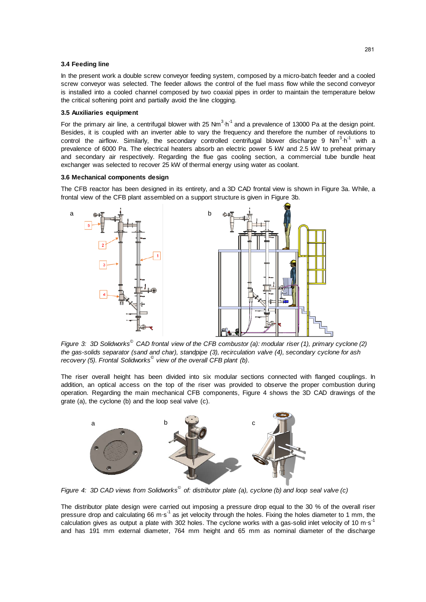## **3.4 Feeding line**

In the present work a double screw conveyor feeding system, composed by a micro-batch feeder and a cooled screw conveyor was selected. The feeder allows the control of the fuel mass flow while the second conveyor is installed into a cooled channel composed by two coaxial pipes in order to maintain the temperature below the critical softening point and partially avoid the line clogging.

## **3.5 Auxiliaries equipment**

For the primary air line, a centrifugal blower with 25 Nm<sup>3</sup> $\cdot$ h<sup>-1</sup> and a prevalence of 13000 Pa at the design point. Besides, it is coupled with an inverter able to vary the frequency and therefore the number of revolutions to control the airflow. Similarly, the secondary controlled centrifugal blower discharge 9 Nm<sup>3</sup>·h<sup>-1</sup> with a prevalence of 6000 Pa. The electrical heaters absorb an electric power 5 kW and 2.5 kW to preheat primary and secondary air respectively. Regarding the flue gas cooling section, a commercial tube bundle heat exchanger was selected to recover 25 kW of thermal energy using water as coolant.

#### **3.6 Mechanical components design**

The CFB reactor has been designed in its entirety, and a 3D CAD frontal view is shown in Figure 3a. While, a frontal view of the CFB plant assembled on a support structure is given in Figure 3b.



*Figure 3: 3D Solidworks© CAD frontal view of the CFB combustor (a): modular riser (1), primary cyclone (2) the gas-solids separator (sand and char), standpipe (3), recirculation valve (4), secondary cyclone for ash recovery (5). Frontal Solidworks© view of the overall CFB plant (b)*.

The riser overall height has been divided into six modular sections connected with flanged couplings. In addition, an optical access on the top of the riser was provided to observe the proper combustion during operation. Regarding the main mechanical CFB components, Figure 4 shows the 3D CAD drawings of the grate (a), the cyclone (b) and the loop seal valve (c).



*Figure 4: 3D CAD views from Solidworks© of: distributor plate (a), cyclone (b) and loop seal valve (c)*

The distributor plate design were carried out imposing a pressure drop equal to the 30 % of the overall riser pressure drop and calculating 66 m⋅s<sup>-1</sup> as jet velocity through the holes. Fixing the holes diameter to 1 mm, the .<br>calculation gives as output a plate with 302 holes. The cyclone works with a gas-solid inlet velocity of 10 m⋅s<sup>-1</sup> and has 191 mm external diameter, 764 mm height and 65 mm as nominal diameter of the discharge